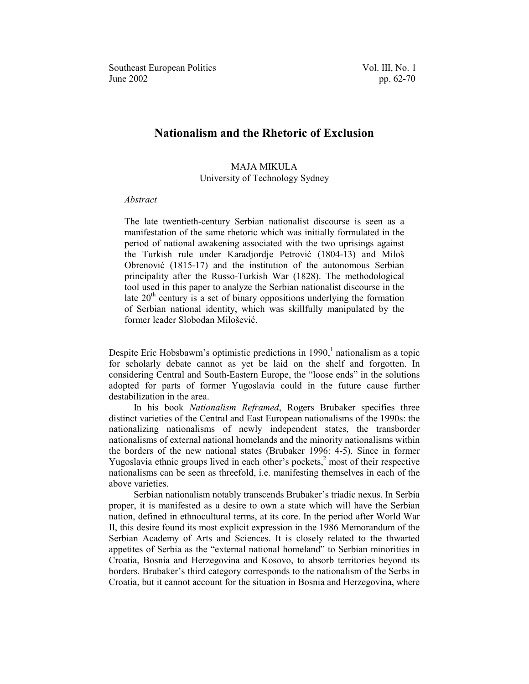# **Nationalism and the Rhetoric of Exclusion**

## MAJA MIKULA University of Technology Sydney

#### *Abstract*

The late twentieth-century Serbian nationalist discourse is seen as a manifestation of the same rhetoric which was initially formulated in the period of national awakening associated with the two uprisings against the Turkish rule under Karadjordje Petrović (1804-13) and Miloš Obrenović (1815-17) and the institution of the autonomous Serbian principality after the Russo-Turkish War (1828). The methodological tool used in this paper to analyze the Serbian nationalist discourse in the late  $20<sup>th</sup>$  century is a set of binary oppositions underlying the formation of Serbian national identity, which was skillfully manipulated by the former leader Slobodan Milošević.

Despite Eric Hobsbawm's optimistic predictions in  $1990<sub>i</sub><sup>1</sup>$  $1990<sub>i</sub><sup>1</sup>$  nationalism as a topic for scholarly debate cannot as yet be laid on the shelf and forgotten. In considering Central and South-Eastern Europe, the "loose ends" in the solutions adopted for parts of former Yugoslavia could in the future cause further destabilization in the area.

In his book *Nationalism Reframed*, Rogers Brubaker specifies three distinct varieties of the Central and East European nationalisms of the 1990s: the nationalizing nationalisms of newly independent states, the transborder nationalisms of external national homelands and the minority nationalisms within the borders of the new national states (Brubaker 1996: 4-5). Since in former Yugoslavia ethnic groups lived in each other's pockets, $\frac{2}{s}$  most of their respective nationalisms can be seen as threefold, i.e. manifesting themselves in each of the above varieties.

Serbian nationalism notably transcends Brubaker's triadic nexus. In Serbia proper, it is manifested as a desire to own a state which will have the Serbian nation, defined in ethnocultural terms, at its core. In the period after World War II, this desire found its most explicit expression in the 1986 Memorandum of the Serbian Academy of Arts and Sciences. It is closely related to the thwarted appetites of Serbia as the "external national homeland" to Serbian minorities in Croatia, Bosnia and Herzegovina and Kosovo, to absorb territories beyond its borders. Brubaker's third category corresponds to the nationalism of the Serbs in Croatia, but it cannot account for the situation in Bosnia and Herzegovina, where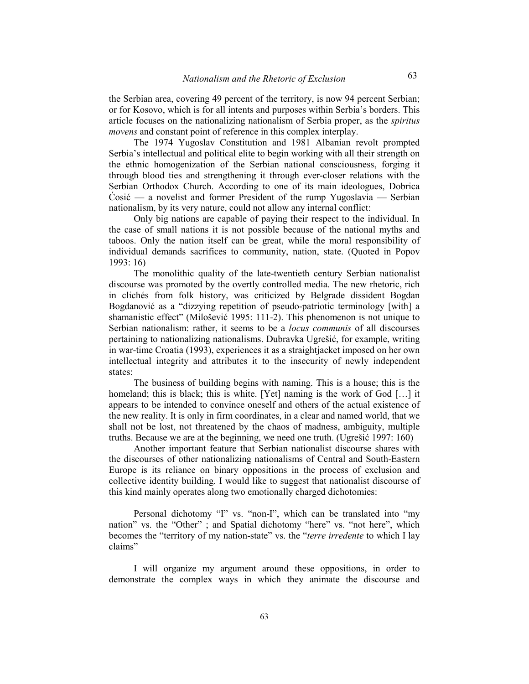the Serbian area, covering 49 percent of the territory, is now 94 percent Serbian; or for Kosovo, which is for all intents and purposes within Serbia's borders. This article focuses on the nationalizing nationalism of Serbia proper, as the *spiritus movens* and constant point of reference in this complex interplay.

The 1974 Yugoslav Constitution and 1981 Albanian revolt prompted Serbia's intellectual and political elite to begin working with all their strength on the ethnic homogenization of the Serbian national consciousness, forging it through blood ties and strengthening it through ever-closer relations with the Serbian Orthodox Church. According to one of its main ideologues, Dobrica  $\dot{C}$ osić — a novelist and former President of the rump Yugoslavia — Serbian nationalism, by its very nature, could not allow any internal conflict:

Only big nations are capable of paying their respect to the individual. In the case of small nations it is not possible because of the national myths and taboos. Only the nation itself can be great, while the moral responsibility of individual demands sacrifices to community, nation, state. (Quoted in Popov 1993: 16)

The monolithic quality of the late-twentieth century Serbian nationalist discourse was promoted by the overtly controlled media. The new rhetoric, rich in clichés from folk history, was criticized by Belgrade dissident Bogdan Bogdanović as a "dizzying repetition of pseudo-patriotic terminology [with] a shamanistic effect" (Milošević 1995: 111-2). This phenomenon is not unique to Serbian nationalism: rather, it seems to be a *locus communis* of all discourses pertaining to nationalizing nationalisms. Dubravka Ugrešić, for example, writing in war-time Croatia (1993), experiences it as a straightjacket imposed on her own intellectual integrity and attributes it to the insecurity of newly independent states:

The business of building begins with naming. This is a house; this is the homeland; this is black; this is white. [Yet] naming is the work of God  $[\dots]$  it appears to be intended to convince oneself and others of the actual existence of the new reality. It is only in firm coordinates, in a clear and named world, that we shall not be lost, not threatened by the chaos of madness, ambiguity, multiple truths. Because we are at the beginning, we need one truth. (Ugressic 1997:  $160$ )

Another important feature that Serbian nationalist discourse shares with the discourses of other nationalizing nationalisms of Central and South-Eastern Europe is its reliance on binary oppositions in the process of exclusion and collective identity building. I would like to suggest that nationalist discourse of this kind mainly operates along two emotionally charged dichotomies:

Personal dichotomy "I" vs. "non-I", which can be translated into "my nation" vs. the "Other" ; and Spatial dichotomy "here" vs. "not here", which becomes the "territory of my nation-state" vs. the "*terre irredente* to which I lay claims"

I will organize my argument around these oppositions, in order to demonstrate the complex ways in which they animate the discourse and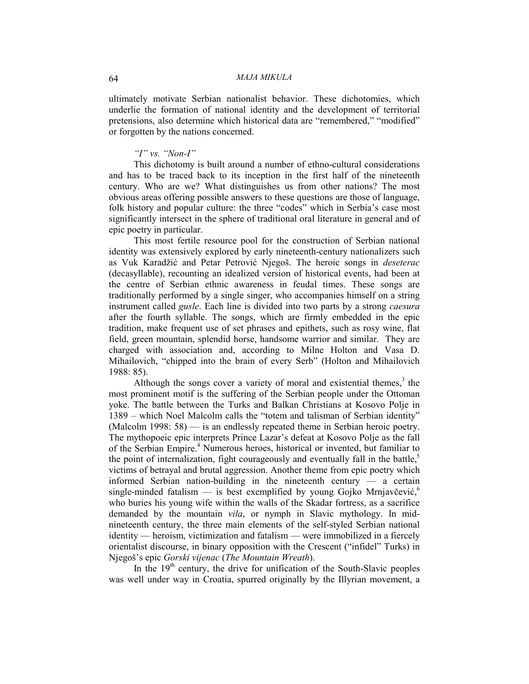ultimately motivate Serbian nationalist behavior. These dichotomies, which underlie the formation of national identity and the development of territorial pretensions, also determine which historical data are "remembered," "modified" or forgotten by the nations concerned.

### *''I" vs. "Non-I"*

This dichotomy is built around a number of ethno-cultural considerations and has to be traced back to its inception in the first half of the nineteenth century. Who are we? What distinguishes us from other nations? The most obvious areas offering possible answers to these questions are those of language, folk history and popular culture: the three "codes" which in Serbia's case most significantly intersect in the sphere of traditional oral literature in general and of epic poetry in particular.

This most fertile resource pool for the construction of Serbian national identity was extensively explored by early nineteenth-century nationalizers such as Vuk Karadžić and Petar Petrović Njegoš. The heroic songs in *deseterac* (decasyllable), recounting an idealized version of historical events, had been at the centre of Serbian ethnic awareness in feudal times. These songs are traditionally performed by a single singer, who accompanies himself on a string instrument called *gusle*. Each line is divided into two parts by a strong *caesura* after the fourth syllable. The songs, which are firmly embedded in the epic tradition, make frequent use of set phrases and epithets, such as rosy wine, flat field, green mountain, splendid horse, handsome warrior and similar. They are charged with association and, according to Milne Holton and Vasa D. Mihailovich, "chipped into the brain of every Serb" (Holton and Mihailovich 1988: 85).

Although the songs cover a variety of moral and existential themes, $3$  the most prominent motif is the suffering of the Serbian people under the Ottoman yoke. The battle between the Turks and Balkan Christians at Kosovo Polje in 1389 – which Noel Malcolm calls the "totem and talisman of Serbian identity" (Malcolm 1998:  $58$ ) — is an endlessly repeated theme in Serbian heroic poetry. The mythopoeic epic interprets Prince Lazar's defeat at Kosovo Polje as the fall of the Serbian Empire.<sup>[4](#page-8-0)</sup> Numerous heroes, historical or invented, but familiar to the point of internalization, fight courageously and eventually fall in the battle, $5$ victims of betrayal and brutal aggression. Another theme from epic poetry which informed Serbia[n](#page-8-0) nation-building in the nineteenth century  $\overline{a}$  a certain single-minded fatalism  $-$  is best exemplified by young Gojko Mrnjavčević, who buries his young wife within the walls of the Skadar fortress, as a sacrifice demanded by the mountain *vila*, or nymph in Slavic mythology. In midnineteenth century, the three main elements of the self-styled Serbian national  $identity$  - heroism, victimization and fatalism - were immobilized in a fiercely orientalist discourse, in binary opposition with the Crescent ("infidel" Turks) in NjegoS[s epic *Gorski vijenac* (*The Mountain Wreath*).

In the  $19<sup>th</sup>$  century, the drive for unification of the South-Slavic peoples was well under way in Croatia, spurred originally by the Illyrian movement, a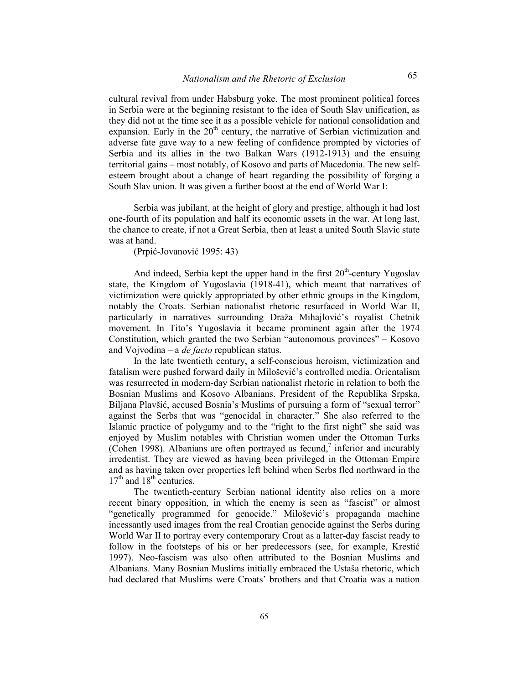cultural revival from under Habsburg yoke. The most prominent political forces in Serbia were at the beginning resistant to the idea of South Slav unification, as they did not at the time see it as a possible vehicle for national consolidation and expansion. Early in the  $20<sup>th</sup>$  century, the narrative of Serbian victimization and adverse fate gave way to a new feeling of confidence prompted by victories of Serbia and its allies in the two Balkan Wars (1912-1913) and the ensuing territorial gains – most notably, of Kosovo and parts of Macedonia. The new selfesteem brought about a change of heart regarding the possibility of forging a South Slav union. It was given a further boost at the end of World War I:

Serbia was jubilant, at the height of glory and prestige, although it had lost one-fourth of its population and half its economic assets in the war. At long last, the chance to create, if not a Great Serbia, then at least a united South Slavic state was at hand.

(Prpić-Jovanović 1995: 43)

And indeed, Serbia kept the upper hand in the first  $20<sup>th</sup>$ -century Yugoslav state, the Kingdom of Yugoslavia (1918-41), which meant that narratives of victimization were quickly appropriated by other ethnic groups in the Kingdom, notably the Croats. Serbian nationalist rhetoric resurfaced in World War II, particularly in narratives surrounding Draža Mihajlović's royalist Chetnik movement. In Tito's Yugoslavia it became prominent again after the 1974 Constitution, which granted the two Serbian  $\alpha$ <sup>a</sup>utonomous provinces $\alpha$  – Kosovo and Vojvodina – a *de facto* republican status.

In the late twentieth century, a self-conscious heroism, victimization and fatalism were pushed forward daily in Milošević's controlled media. Orientalism was resurrected in modern-day Serbian nationalist rhetoric in relation to both the Bosnian Muslims and Kosovo Albanians. President of the Republika Srpska, Biljana Plavšić, accused Bosnia's Muslims of pursuing a form of "sexual terror" against the Serbs that was "genocidal in character." She also referred to the Islamic practice of polygamy and to the "right to the first night" she said was enjoyed by Muslim notables with Christian women under the Ottoman Turks (Cohen 1998). Albanians are often portrayed as fecund,<sup>[7](#page-8-0)</sup> inferior and incurably irredentist. They are viewed as having been privileged in the Ottoman Empire and as having taken over properties left behind when Serbs fled northward in the  $17<sup>th</sup>$  and  $18<sup>th</sup>$  centuries.

The twentieth-century Serbian national identity also relies on a more recent binary opposition, in which the enemy is seen as "fascist" or almost "genetically programmed for genocide." Milošević's propaganda machine incessantly used images from the real Croatian genocide against the Serbs during World War II to portray every contemporary Croat as a latter-day fascist ready to follow in the footsteps of his or her predecessors (see, for example, Kresti 1997). Neo-fascism was also often attributed to the Bosnian Muslims and Albanians. Many Bosnian Muslims initially embraced the Ustaša rhetoric, which had declared that Muslims were Croats' brothers and that Croatia was a nation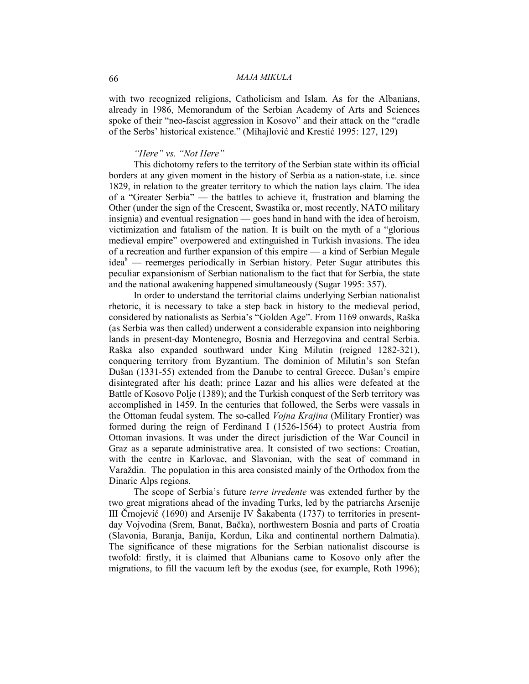#### 66 *MAJA MIKULA*

with two recognized religions, Catholicism and Islam. As for the Albanians, already in 1986, Memorandum of the Serbian Academy of Arts and Sciences spoke of their "neo-fascist aggression in Kosovo" and their attack on the "cradle" of the Serbs' historical existence." (Mihajlović and Krestić 1995: 127, 129)

### *"Here" vs. "Not Here"*

This dichotomy refers to the territory of the Serbian state within its official borders at any given moment in the history of Serbia as a nation-state, i.e. since 1829, in relation to the greater territory to which the nation lays claim. The idea of a "Greater Serbia" — the battles to achieve it, frustration and blaming the Other (under the sign of the Crescent, Swastika or, most recently, NATO military insignia) and eventual resignation  $-$  goes hand in hand with the idea of heroism, victimization and fatalism of the nation. It is built on the myth of a ^glorious medieval empire" overpowered and extinguished in Turkish invasions. The idea of a recreation and further expansion of this empire  $-$  a kind of Serbian Megale idea<sup>[8](#page-8-0)</sup> — reemerges periodically in Serbian history. Peter Sugar attributes this peculiar expansionism of Serbian nationalism to the fact that for Serbia, the state and the national awakening happened simultaneously (Sugar 1995: 357).

In order to understand the territorial claims underlying Serbian nationalist rhetoric, it is necessary to take a step back in history to the medieval period, considered by nationalists as Serbia's "Golden Age". From 1169 onwards, Raška (as Serbia was then called) underwent a considerable expansion into neighboring lands in present-day Montenegro, Bosnia and Herzegovina and central Serbia. RaSka also expanded southward under King Milutin (reigned 1282-321), conquering territory from Byzantium. The dominion of Milutin's son Stefan Dušan (1331-55) extended from the Danube to central Greece. Dušan's empire disintegrated after his death; prince Lazar and his allies were defeated at the Battle of Kosovo Polje (1389); and the Turkish conquest of the Serb territory was accomplished in 1459. In the centuries that followed, the Serbs were vassals in the Ottoman feudal system. The so-called *Vojna Krajina* (Military Frontier) was formed during the reign of Ferdinand I (1526-1564) to protect Austria from Ottoman invasions. It was under the direct jurisdiction of the War Council in Graz as a separate administrative area. It consisted of two sections: Croatian, with the centre in Karlovac, and Slavonian, with the seat of command in Varaždin. The population in this area consisted mainly of the Orthodox from the Dinaric Alps regions.

The scope of Serbia's future *terre irredente* was extended further by the two great migrations ahead of the invading Turks, led by the patriarchs Arsenije III Črnojević (1690) and Arsenije IV Šakabenta (1737) to territories in presentday Vojvodina (Srem, Banat, Baka), northwestern Bosnia and parts of Croatia (Slavonia, Baranja, Banija, Kordun, Lika and continental northern Dalmatia). The significance of these migrations for the Serbian nationalist discourse is twofold: firstly, it is claimed that Albanians came to Kosovo only after the migrations, to fill the vacuum left by the exodus (see, for example, Roth 1996);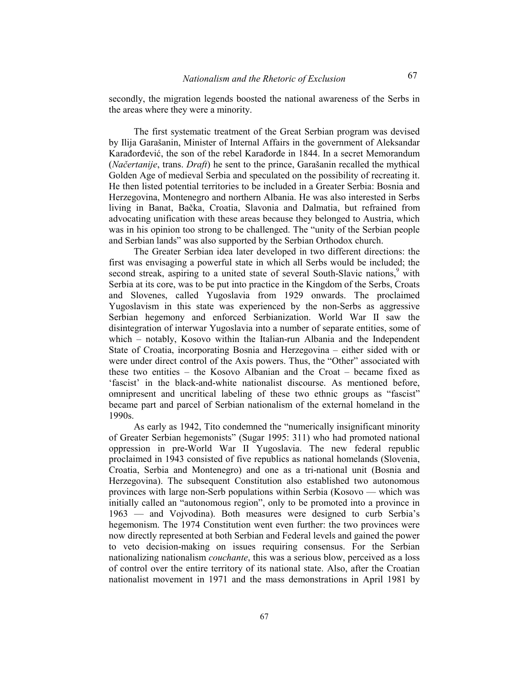secondly, the migration legends boosted the national awareness of the Serbs in the areas where they were a minority.

The first systematic treatment of the Great Serbian program was devised by Ilija GaraSanin, Minister of Internal Affairs in the government of Aleksandar Karađorđević, the son of the rebel Karađorđe in 1844. In a secret Memorandum (*Naertanije*, trans. *Draft*) he sent to the prince, GaraSanin recalled the mythical Golden Age of medieval Serbia and speculated on the possibility of recreating it. He then listed potential territories to be included in a Greater Serbia: Bosnia and Herzegovina, Montenegro and northern Albania. He was also interested in Serbs living in Banat, Bačka, Croatia, Slavonia and Dalmatia, but refrained from advocating unification with these areas because they belonged to Austria, which was in his opinion too strong to be challenged. The "unity of the Serbian people and Serbian lands" was also supported by the Serbian Orthodox church.

The Greater Serbian idea later developed in two different directions: the first was envisaging a powerful state in which all Serbs would be includ[ed](#page-8-0); the second streak, aspiring to a united state of several South-Slavic nations,<sup>9</sup> with Serbia at its core, was to be put into practice in the Kingdom of the Serbs, Croats and Slovenes, called Yugoslavia from 1929 onwards. The proclaimed Yugoslavism in this state was experienced by the non-Serbs as aggressive Serbian hegemony and enforced Serbianization. World War II saw the disintegration of interwar Yugoslavia into a number of separate entities, some of which  $-$  notably, Kosovo within the Italian-run Albania and the Independent State of Croatia, incorporating Bosnia and Herzegovina – either sided with or were under direct control of the Axis powers. Thus, the "Other" associated with these two entities  $-$  the Kosovo Albanian and the Croat  $-$  became fixed as fascist in the black-and-white nationalist discourse. As mentioned before, omnipresent and uncritical labeling of these two ethnic groups as "fascist" became part and parcel of Serbian nationalism of the external homeland in the 1990s.

As early as 1942, Tito condemned the "numerically insignificant minority of Greater Serbian hegemonists" (Sugar 1995: 311) who had promoted national oppression in pre-World War II Yugoslavia. The new federal republic proclaimed in 1943 consisted of five republics as national homelands (Slovenia, Croatia, Serbia and Montenegro) and one as a tri-national unit (Bosnia and Herzegovina). The subsequent Constitution also established two autonomous provinces with large non-Serb populations within Serbia (Kosovo — which was initially called an "autonomous region", only to be promoted into a province in  $1963$  — and Vojvodina). Both measures were designed to curb Serbia's hegemonism. The 1974 Constitution went even further: the two provinces were now directly represented at both Serbian and Federal levels and gained the power to veto decision-making on issues requiring consensus. For the Serbian nationalizing nationalism *couchante*, this was a serious blow, perceived as a loss of control over the entire territory of its national state. Also, after the Croatian nationalist movement in 1971 and the mass demonstrations in April 1981 by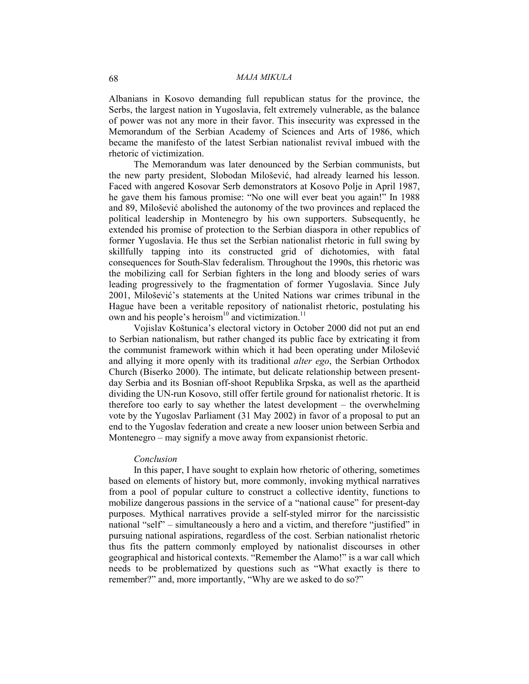Albanians in Kosovo demanding full republican status for the province, the Serbs, the largest nation in Yugoslavia, felt extremely vulnerable, as the balance of power was not any more in their favor. This insecurity was expressed in the Memorandum of the Serbian Academy of Sciences and Arts of 1986, which became the manifesto of the latest Serbian nationalist revival imbued with the rhetoric of victimization.

The Memorandum was later denounced by the Serbian communists, but the new party president. Slobodan Milošević, had already learned his lesson. Faced with angered Kosovar Serb demonstrators at Kosovo Polje in April 1987, he gave them his famous promise: "No one will ever beat you again!" In 1988 and 89, Milošević abolished the autonomy of the two provinces and replaced the political leadership in Montenegro by his own supporters. Subsequently, he extended his promise of protection to the Serbian diaspora in other republics of former Yugoslavia. He thus set the Serbian nationalist rhetoric in full swing by skillfully tapping into its constructed grid of dichotomies, with fatal consequences for South-Slav federalism. Throughout the 1990s, this rhetoric was the mobilizing call for Serbian fighters in the long and bloody series of wars leading progressively to the fragmentation of former Yugoslavia. Since July 2001, Milošević's statements at the United Nations war crimes tribunal in the Hague have been a veritable repository of nationalist rhetoric, postulating his own and his people's heroism<sup>10</sup> and victimization.<sup>11</sup>

Vojislav Koštunica's electoral victory in October 2000 did not put an end to Serbian nationalism, but rather changed its public face by extricating it from the communist framework within which it had been operating under Milošević and allying it more openly with its traditional *alter ego*, the Serbian Orthodox Church (Biserko 2000). The intimate, but delicate relationship between presentday Serbia and its Bosnian off-shoot Republika Srpska, as well as the apartheid dividing the UN-run Kosovo, still offer fertile ground for nationalist rhetoric. It is therefore too early to say whether the latest development  $-$  the overwhelming vote by the Yugoslav Parliament (31 May 2002) in favor of a proposal to put an end to the Yugoslav federation and create a new looser union between Serbia and Montenegro  $-$  may signify a move away from expansionist rhetoric.

#### *Conclusion*

In this paper, I have sought to explain how rhetoric of othering, sometimes based on elements of history but, more commonly, invoking mythical narratives from a pool of popular culture to construct a collective identity, functions to mobilize dangerous passions in the service of a "national cause" for present-day purposes. Mythical narratives provide a self-styled mirror for the narcissistic national "self"  $-$  simultaneously a hero and a victim, and therefore "justified" in pursuing national aspirations, regardless of the cost. Serbian nationalist rhetoric thus fits the pattern commonly employed by nationalist discourses in other geographical and historical contexts. "Remember the Alamo!" is a war call which needs to be problematized by questions such as ^What exactly is there to remember?" and, more importantly, "Why are we asked to do so?"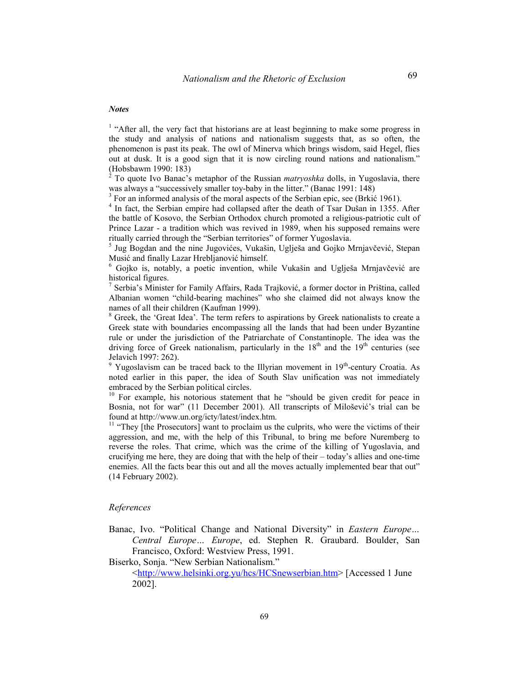#### *Notes*

 $<sup>1</sup>$  "After all, the very fact that historians are at least beginning to make some progress in</sup> the study and analysis of nations and nationalism suggests that, as so often, the phenomenon is past its peak. The owl of Minerva which brings wisdom, said Hegel, flies out at dusk. It is a good sign that it is now circling round nations and nationalism." (Hobsbawm 1990: 183)

2 To quote Ivo Banac's metaphor of the Russian *matryoshka* dolls, in Yugoslavia, there was always a "successively smaller toy-baby in the litter." (Banac 1991: 148)

<sup>3</sup> For an informed analysis of the moral aspects of the Serbian epic, see (Brkić 1961).

<sup>4</sup> In fact, the Serbian empire had collapsed after the death of Tsar Dušan in 1355. After the battle of Kosovo, the Serbian Orthodox church promoted a religious-patriotic cult of Prince Lazar - a tradition which was revived in 1989, when his supposed remains were ritually carried through the "Serbian territories" of former Yugoslavia.

5 Jug Bogdan and the nine Jugovićes, Vukašin, Uglješa and Gojko Mrnjavčević, Stepan Musić and finally Lazar Hrebljanović himself.

 $6$  Gojko is, notably, a poetic invention, while Vukašin and Uglješa Mrnjavčević are historical figures.

<sup>7</sup> Serbia's Minister for Family Affairs, Rada Trajković, a former doctor in Priština, called Albanian women "child-bearing machines" who she claimed did not always know the names of all their children (Kaufman 1999).

 $8$  Greek, the 'Great Idea'. The term refers to aspirations by Greek nationalists to create a Greek state with boundaries encompassing all the lands that had been under Byzantine rule or under the jurisdiction of the Patriarchate of Constantinople. The idea was the driving force of Greek nationalism, particularly in the  $18<sup>th</sup>$  and the  $19<sup>th</sup>$  centuries (see Jelavich 1997: 262).

 $9$  Yugoslavism can be traced back to the Illyrian movement in  $19<sup>th</sup>$ -century Croatia. As noted earlier in this paper, the idea of South Slav unification was not immediately embraced by the Serbian political circles.

 $10$  For example, his notorious statement that he "should be given credit for peace in Bosnia, not for war" (11 December 2001). All transcripts of Milošević's trial can be found at http://www.un.org/icty/latest/index.htm.<br><sup>11</sup> "They [the Prosecutors] want to proclaim us the culprits, who were the victims of their

aggression, and me, with the help of this Tribunal, to bring me before Nuremberg to reverse the roles. That crime, which was the crime of the killing of Yugoslavia, and crucifying me here, they are doing that with the help of their  $-$  today's allies and one-time enemies. All the facts bear this out and all the moves actually implemented bear that out" (14 February 2002).

#### *References*

Banac, Ivo. "Political Change and National Diversity" in *Eastern Europe...* Central Europe... Europe, ed. Stephen R. Graubard. Boulder, San Francisco, Oxford: Westview Press, 1991.

Biserko, Sonja. "New Serbian Nationalism."

<http://www.helsinki.org.yu/hcs/HCSnewserbian.htm> [Accessed 1 June 2002].